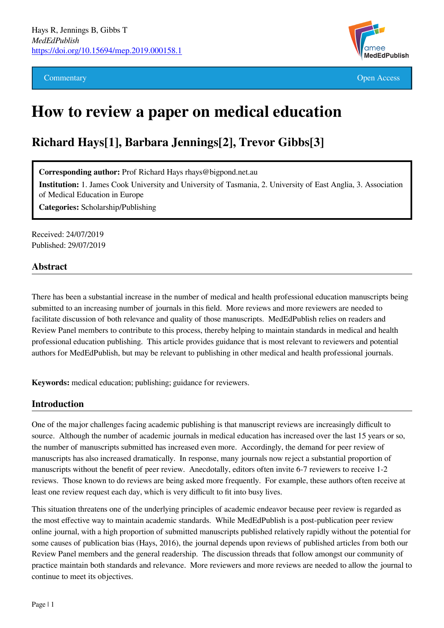

Commentary **Commentary Open Access** 

# **How to review a paper on medical education**

## **Richard Hays[1], Barbara Jennings[2], Trevor Gibbs[3]**

**Corresponding author:** Prof Richard Hays rhays@bigpond.net.au

**Institution:** 1. James Cook University and University of Tasmania, 2. University of East Anglia, 3. Association of Medical Education in Europe

**Categories:** Scholarship/Publishing

Received: 24/07/2019 Published: 29/07/2019

#### **Abstract**

There has been a substantial increase in the number of medical and health professional education manuscripts being submitted to an increasing number of journals in this field. More reviews and more reviewers are needed to facilitate discussion of both relevance and quality of those manuscripts. MedEdPublish relies on readers and Review Panel members to contribute to this process, thereby helping to maintain standards in medical and health professional education publishing. This article provides guidance that is most relevant to reviewers and potential authors for MedEdPublish, but may be relevant to publishing in other medical and health professional journals.

**Keywords:** medical education; publishing; guidance for reviewers.

#### **Introduction**

One of the major challenges facing academic publishing is that manuscript reviews are increasingly difficult to source. Although the number of academic journals in medical education has increased over the last 15 years or so, the number of manuscripts submitted has increased even more. Accordingly, the demand for peer review of manuscripts has also increased dramatically. In response, many journals now reject a substantial proportion of manuscripts without the benefit of peer review. Anecdotally, editors often invite 6-7 reviewers to receive 1-2 reviews. Those known to do reviews are being asked more frequently. For example, these authors often receive at least one review request each day, which is very difficult to fit into busy lives.

This situation threatens one of the underlying principles of academic endeavor because peer review is regarded as the most effective way to maintain academic standards. While MedEdPublish is a post-publication peer review online journal, with a high proportion of submitted manuscripts published relatively rapidly without the potential for some causes of publication bias (Hays, 2016), the journal depends upon reviews of published articles from both our Review Panel members and the general readership. The discussion threads that follow amongst our community of practice maintain both standards and relevance. More reviewers and more reviews are needed to allow the journal to continue to meet its objectives.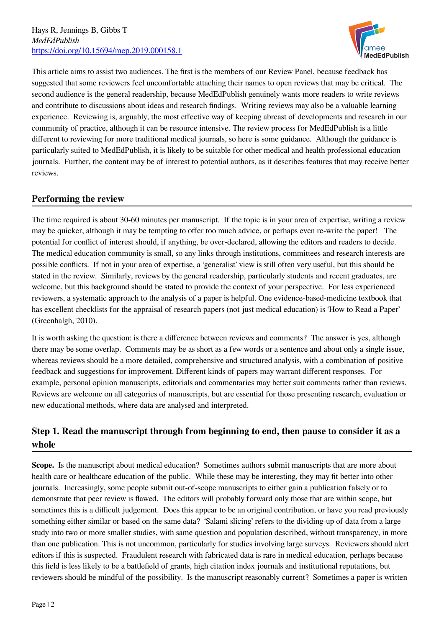

This article aims to assist two audiences. The first is the members of our Review Panel, because feedback has suggested that some reviewers feel uncomfortable attaching their names to open reviews that may be critical. The second audience is the general readership, because MedEdPublish genuinely wants more readers to write reviews and contribute to discussions about ideas and research findings. Writing reviews may also be a valuable learning experience. Reviewing is, arguably, the most effective way of keeping abreast of developments and research in our community of practice, although it can be resource intensive. The review process for MedEdPublish is a little different to reviewing for more traditional medical journals, so here is some guidance. Although the guidance is particularly suited to MedEdPublish, it is likely to be suitable for other medical and health professional education journals. Further, the content may be of interest to potential authors, as it describes features that may receive better reviews.

## **Performing the review**

The time required is about 30-60 minutes per manuscript. If the topic is in your area of expertise, writing a review may be quicker, although it may be tempting to offer too much advice, or perhaps even re-write the paper! The potential for conflict of interest should, if anything, be over-declared, allowing the editors and readers to decide. The medical education community is small, so any links through institutions, committees and research interests are possible conflicts. If not in your area of expertise, a 'generalist' view is still often very useful, but this should be stated in the review. Similarly, reviews by the general readership, particularly students and recent graduates, are welcome, but this background should be stated to provide the context of your perspective. For less experienced reviewers, a systematic approach to the analysis of a paper is helpful. One evidence-based-medicine textbook that has excellent checklists for the appraisal of research papers (not just medical education) is 'How to Read a Paper' (Greenhalgh, 2010).

It is worth asking the question: is there a difference between reviews and comments? The answer is yes, although there may be some overlap. Comments may be as short as a few words or a sentence and about only a single issue, whereas reviews should be a more detailed, comprehensive and structured analysis, with a combination of positive feedback and suggestions for improvement. Different kinds of papers may warrant different responses. For example, personal opinion manuscripts, editorials and commentaries may better suit comments rather than reviews. Reviews are welcome on all categories of manuscripts, but are essential for those presenting research, evaluation or new educational methods, where data are analysed and interpreted.

## **Step 1. Read the manuscript through from beginning to end, then pause to consider it as a whole**

**Scope.** Is the manuscript about medical education? Sometimes authors submit manuscripts that are more about health care or healthcare education of the public. While these may be interesting, they may fit better into other journals. Increasingly, some people submit out-of-scope manuscripts to either gain a publication falsely or to demonstrate that peer review is flawed. The editors will probably forward only those that are within scope, but sometimes this is a difficult judgement. Does this appear to be an original contribution, or have you read previously something either similar or based on the same data? 'Salami slicing' refers to the dividing-up of data from a large study into two or more smaller studies, with same question and population described, without transparency, in more than one publication. This is not uncommon, particularly for studies involving large surveys. Reviewers should alert editors if this is suspected. Fraudulent research with fabricated data is rare in medical education, perhaps because this field is less likely to be a battlefield of grants, high citation index journals and institutional reputations, but reviewers should be mindful of the possibility. Is the manuscript reasonably current? Sometimes a paper is written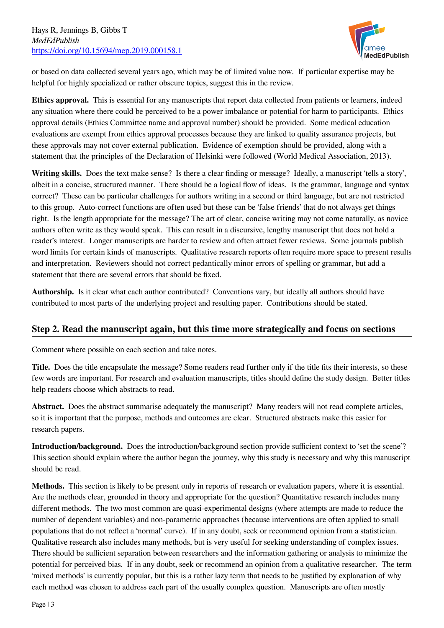

or based on data collected several years ago, which may be of limited value now. If particular expertise may be helpful for highly specialized or rather obscure topics, suggest this in the review.

**Ethics approval.** This is essential for any manuscripts that report data collected from patients or learners, indeed any situation where there could be perceived to be a power imbalance or potential for harm to participants. Ethics approval details (Ethics Committee name and approval number) should be provided. Some medical education evaluations are exempt from ethics approval processes because they are linked to quality assurance projects, but these approvals may not cover external publication. Evidence of exemption should be provided, along with a statement that the principles of the Declaration of Helsinki were followed (World Medical Association, 2013).

**Writing skills.** Does the text make sense? Is there a clear finding or message? Ideally, a manuscript 'tells a story', albeit in a concise, structured manner. There should be a logical flow of ideas. Is the grammar, language and syntax correct? These can be particular challenges for authors writing in a second or third language, but are not restricted to this group. Auto-correct functions are often used but these can be 'false friends' that do not always get things right. Is the length appropriate for the message? The art of clear, concise writing may not come naturally, as novice authors often write as they would speak. This can result in a discursive, lengthy manuscript that does not hold a reader's interest. Longer manuscripts are harder to review and often attract fewer reviews. Some journals publish word limits for certain kinds of manuscripts. Qualitative research reports often require more space to present results and interpretation. Reviewers should not correct pedantically minor errors of spelling or grammar, but add a statement that there are several errors that should be fixed.

**Authorship.** Is it clear what each author contributed? Conventions vary, but ideally all authors should have contributed to most parts of the underlying project and resulting paper. Contributions should be stated.

## **Step 2. Read the manuscript again, but this time more strategically and focus on sections**

Comment where possible on each section and take notes.

**Title.** Does the title encapsulate the message? Some readers read further only if the title fits their interests, so these few words are important. For research and evaluation manuscripts, titles should define the study design. Better titles help readers choose which abstracts to read.

**Abstract.** Does the abstract summarise adequately the manuscript? Many readers will not read complete articles, so it is important that the purpose, methods and outcomes are clear. Structured abstracts make this easier for research papers.

**Introduction/background.** Does the introduction/background section provide sufficient context to 'set the scene'? This section should explain where the author began the journey, why this study is necessary and why this manuscript should be read.

**Methods.** This section is likely to be present only in reports of research or evaluation papers, where it is essential. Are the methods clear, grounded in theory and appropriate for the question? Quantitative research includes many different methods. The two most common are quasi-experimental designs (where attempts are made to reduce the number of dependent variables) and non-parametric approaches (because interventions are often applied to small populations that do not reflect a 'normal' curve). If in any doubt, seek or recommend opinion from a statistician. Qualitative research also includes many methods, but is very useful for seeking understanding of complex issues. There should be sufficient separation between researchers and the information gathering or analysis to minimize the potential for perceived bias. If in any doubt, seek or recommend an opinion from a qualitative researcher. The term 'mixed methods' is currently popular, but this is a rather lazy term that needs to be justified by explanation of why each method was chosen to address each part of the usually complex question. Manuscripts are often mostly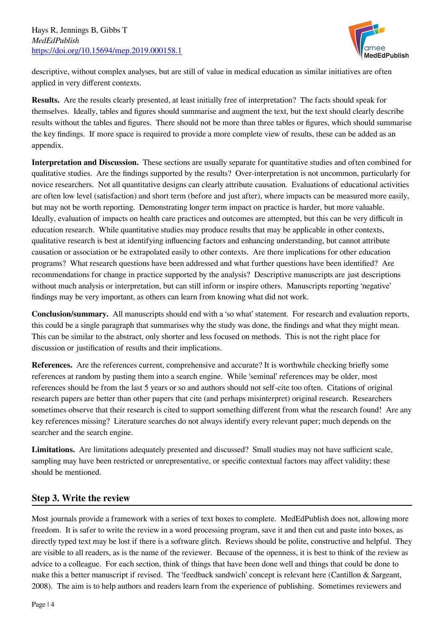

descriptive, without complex analyses, but are still of value in medical education as similar initiatives are often applied in very different contexts.

**Results.** Are the results clearly presented, at least initially free of interpretation? The facts should speak for themselves. Ideally, tables and figures should summarise and augment the text, but the text should clearly describe results without the tables and figures.There should not be more than three tables or figures, which should summarise the key findings. If more space is required to provide a more complete view of results, these can be added as an appendix.

**Interpretation and Discussion.** These sections are usually separate for quantitative studies and often combined for qualitative studies. Are the findings supported by the results? Over-interpretation is not uncommon, particularly for novice researchers. Not all quantitative designs can clearly attribute causation. Evaluations of educational activities are often low level (satisfaction) and short term (before and just after), where impacts can be measured more easily, but may not be worth reporting. Demonstrating longer term impact on practice is harder, but more valuable. Ideally, evaluation of impacts on health care practices and outcomes are attempted, but this can be very difficult in education research. While quantitative studies may produce results that may be applicable in other contexts, qualitative research is best at identifying influencing factors and enhancing understanding, but cannot attribute causation or association or be extrapolated easily to other contexts. Are there implications for other education programs? What research questions have been addressed and what further questions have been identified? Are recommendations for change in practice supported by the analysis? Descriptive manuscripts are just descriptions without much analysis or interpretation, but can still inform or inspire others. Manuscripts reporting 'negative' findings may be very important, as others can learn from knowing what did not work.

**Conclusion/summary.** All manuscripts should end with a 'so what' statement. For research and evaluation reports, this could be a single paragraph that summarises why the study was done, the findings and what they might mean. This can be similar to the abstract, only shorter and less focused on methods. This is not the right place for discussion or justification of results and their implications.

**References.** Are the references current, comprehensive and accurate? It is worthwhile checking briefly some references at random by pasting them into a search engine. While 'seminal' references may be older, most references should be from the last 5 years or so and authors should not self-cite too often. Citations of original research papers are better than other papers that cite (and perhaps misinterpret) original research. Researchers sometimes observe that their research is cited to support something different from what the research found! Are any key references missing? Literature searches do not always identify every relevant paper; much depends on the searcher and the search engine.

**Limitations.** Are limitations adequately presented and discussed? Small studies may not have sufficient scale, sampling may have been restricted or unrepresentative, or specific contextual factors may affect validity; these should be mentioned.

## **Step 3. Write the review**

Most journals provide a framework with a series of text boxes to complete. MedEdPublish does not, allowing more freedom. It is safer to write the review in a word processing program, save it and then cut and paste into boxes, as directly typed text may be lost if there is a software glitch. Reviews should be polite, constructive and helpful. They are visible to all readers, as is the name of the reviewer. Because of the openness, it is best to think of the review as advice to a colleague. For each section, think of things that have been done well and things that could be done to make this a better manuscript if revised. The 'feedback sandwich' concept is relevant here (Cantillon & Sargeant, 2008). The aim is to help authors and readers learn from the experience of publishing. Sometimes reviewers and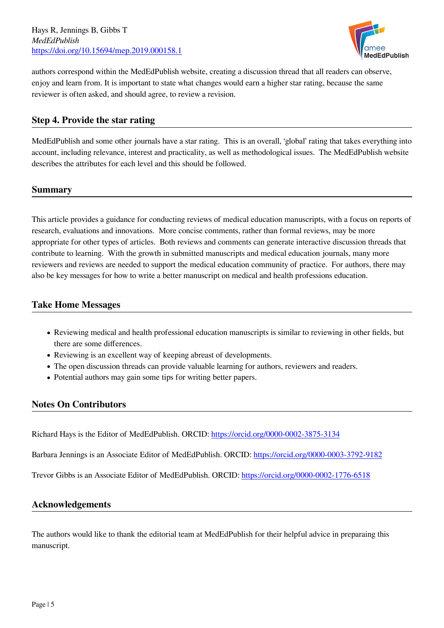Hays R, Jennings B, Gibbs T *MedEdPublish* <https://doi.org/10.15694/mep.2019.000158.1>



authors correspond within the MedEdPublish website, creating a discussion thread that all readers can observe, enjoy and learn from. It is important to state what changes would earn a higher star rating, because the same reviewer is often asked, and should agree, to review a revision.

#### **Step 4. Provide the star rating**

MedEdPublish and some other journals have a star rating. This is an overall, 'global' rating that takes everything into account, including relevance, interest and practicality, as well as methodological issues. The MedEdPublish website describes the attributes for each level and this should be followed.

#### **Summary**

This article provides a guidance for conducting reviews of medical education manuscripts, with a focus on reports of research, evaluations and innovations. More concise comments, rather than formal reviews, may be more appropriate for other types of articles. Both reviews and comments can generate interactive discussion threads that contribute to learning. With the growth in submitted manuscripts and medical education journals, many more reviewers and reviews are needed to support the medical education community of practice. For authors, there may also be key messages for how to write a better manuscript on medical and health professions education.

#### **Take Home Messages**

- Reviewing medical and health professional education manuscripts is similar to reviewing in other fields, but there are some differences.
- Reviewing is an excellent way of keeping abreast of developments.
- The open discussion threads can provide valuable learning for authors, reviewers and readers.
- Potential authors may gain some tips for writing better papers.

## **Notes On Contributors**

Richard Hays is the Editor of MedEdPublish. ORCID:<https://orcid.org/0000-0002-3875-3134>

Barbara Jennings is an Associate Editor of MedEdPublish. ORCID:<https://orcid.org/0000-0003-3792-9182>

Trevor Gibbs is an Associate Editor of MedEdPublish. ORCID:<https://orcid.org/0000-0002-1776-6518>

#### **Acknowledgements**

The authors would like to thank the editorial team at MedEdPublish for their helpful advice in preparaing this manuscript.